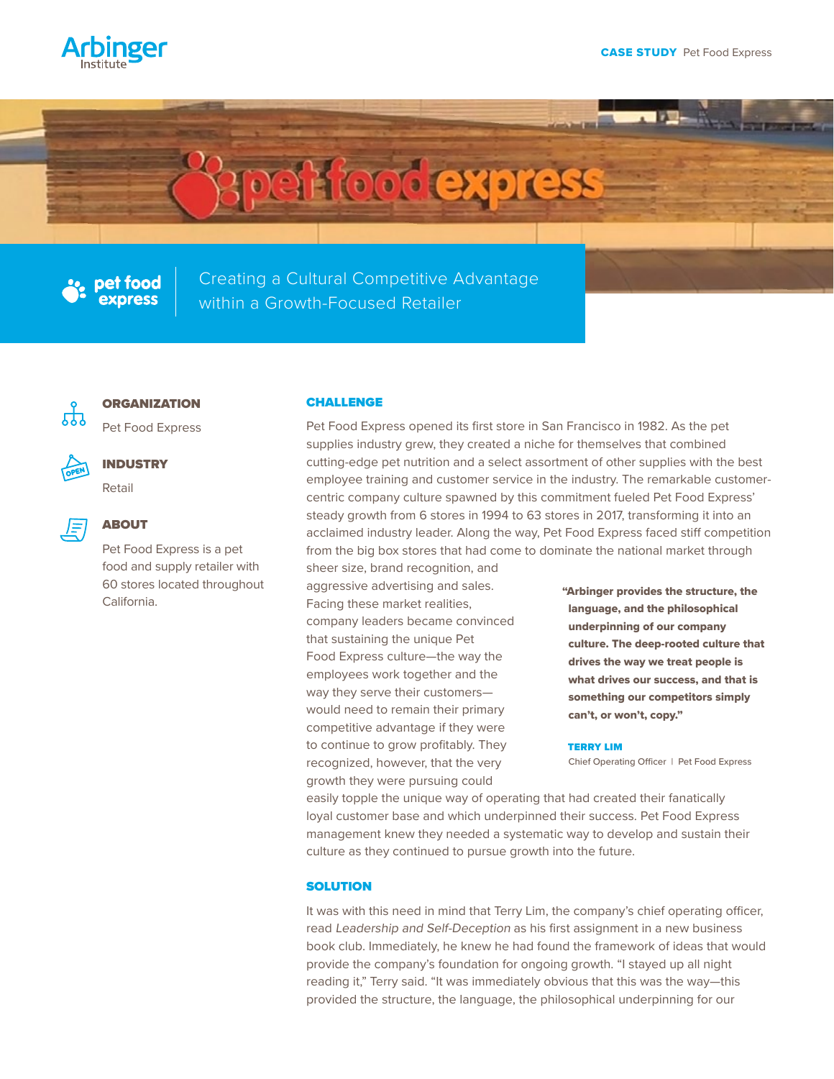

# **perfood express**



Creating a Cultural Competitive Advantage within a Growth-Focused Retailer



# **ORGANIZATION**

Pet Food Express



### INDUSTRY

Retail



# ABOUT

Pet Food Express is a pet food and supply retailer with 60 stores located throughout California.

#### CHALLENGE

Pet Food Express opened its first store in San Francisco in 1982. As the pet supplies industry grew, they created a niche for themselves that combined cutting-edge pet nutrition and a select assortment of other supplies with the best employee training and customer service in the industry. The remarkable customercentric company culture spawned by this commitment fueled Pet Food Express' steady growth from 6 stores in 1994 to 63 stores in 2017, transforming it into an acclaimed industry leader. Along the way, Pet Food Express faced stiff competition from the big box stores that had come to dominate the national market through

sheer size, brand recognition, and aggressive advertising and sales. Facing these market realities, company leaders became convinced that sustaining the unique Pet Food Express culture—the way the employees work together and the way they serve their customers would need to remain their primary competitive advantage if they were to continue to grow profitably. They recognized, however, that the very growth they were pursuing could

"Arbinger provides the structure, the language, and the philosophical underpinning of our company culture. The deep-rooted culture that drives the way we treat people is what drives our success, and that is something our competitors simply can't, or won't, copy."

#### TERRY LIM

Chief Operating Officer | Pet Food Express

easily topple the unique way of operating that had created their fanatically loyal customer base and which underpinned their success. Pet Food Express management knew they needed a systematic way to develop and sustain their culture as they continued to pursue growth into the future.

# **SOLUTION**

It was with this need in mind that Terry Lim, the company's chief operating officer, read Leadership and Self-Deception as his first assignment in a new business book club. Immediately, he knew he had found the framework of ideas that would provide the company's foundation for ongoing growth. "I stayed up all night reading it," Terry said. "It was immediately obvious that this was the way—this provided the structure, the language, the philosophical underpinning for our